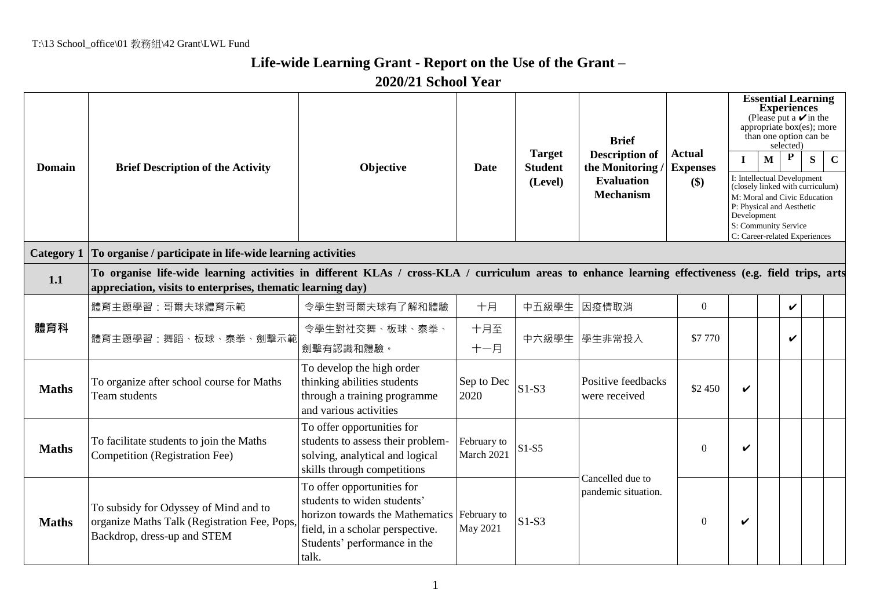## **Life-wide Learning Grant - Report on the Use of the Grant – 2020/21 School Year**

| <b>Domain</b>     | <b>Brief Description of the Activity</b>                                                                                                                                                                           | Objective                                                                                                                                                                 | Date                      | <b>Target</b><br><b>Student</b><br>(Level) | <b>Brief</b><br><b>Description of</b><br>the Monitoring<br><b>Evaluation</b><br><b>Mechanism</b> | <b>Actual</b><br><b>Expenses</b><br>\$) | Т<br>Development   | <b>Essential Learning</b><br><b>Experiences</b><br>(Please put a $\vee$ in the<br>appropriate box(es); more<br>than one option can be<br>$\mathbf{M}$<br>I: Intellectual Development<br>(closely linked with curriculum)<br>M: Moral and Civic Education<br>P: Physical and Aesthetic<br>S: Community Service<br>C: Career-related Experiences | selected)<br>P | S | $\mathbf C$ |  |
|-------------------|--------------------------------------------------------------------------------------------------------------------------------------------------------------------------------------------------------------------|---------------------------------------------------------------------------------------------------------------------------------------------------------------------------|---------------------------|--------------------------------------------|--------------------------------------------------------------------------------------------------|-----------------------------------------|--------------------|------------------------------------------------------------------------------------------------------------------------------------------------------------------------------------------------------------------------------------------------------------------------------------------------------------------------------------------------|----------------|---|-------------|--|
| <b>Category 1</b> | To organise / participate in life-wide learning activities<br>To organise life-wide learning activities in different KLAs / cross-KLA / curriculum areas to enhance learning effectiveness (e.g. field trips, arts |                                                                                                                                                                           |                           |                                            |                                                                                                  |                                         |                    |                                                                                                                                                                                                                                                                                                                                                |                |   |             |  |
| 1.1               | appreciation, visits to enterprises, thematic learning day)                                                                                                                                                        |                                                                                                                                                                           |                           |                                            |                                                                                                  |                                         |                    |                                                                                                                                                                                                                                                                                                                                                |                |   |             |  |
|                   | 體育主題學習:哥爾夫球體育示範                                                                                                                                                                                                    | 令學生對哥爾夫球有了解和體驗                                                                                                                                                            | 十月                        | 中五級學生                                      | 因疫情取消                                                                                            | $\Omega$                                |                    |                                                                                                                                                                                                                                                                                                                                                | V              |   |             |  |
| 體育科               | 體育主題學習:舞蹈、板球、泰拳、劍擊示範                                                                                                                                                                                               | 令學生對社交舞、板球、泰拳、<br>劍擊有認識和體驗。                                                                                                                                               | 十月至<br>十一月                | 中六級學生                                      | 學生非常投入                                                                                           | \$7 770                                 |                    |                                                                                                                                                                                                                                                                                                                                                |                |   |             |  |
| <b>Maths</b>      | To organize after school course for Maths<br>Team students                                                                                                                                                         | To develop the high order<br>thinking abilities students<br>through a training programme<br>and various activities                                                        | Sep to Dec<br>2020        | $S1-S3$                                    | Positive feedbacks<br>were received                                                              | \$2 450                                 | V                  |                                                                                                                                                                                                                                                                                                                                                |                |   |             |  |
| <b>Maths</b>      | To facilitate students to join the Maths<br>Competition (Registration Fee)                                                                                                                                         | To offer opportunities for<br>students to assess their problem-<br>solving, analytical and logical<br>skills through competitions                                         | February to<br>March 2021 | $S1-S5$                                    | Cancelled due to                                                                                 | $\Omega$                                | V                  |                                                                                                                                                                                                                                                                                                                                                |                |   |             |  |
| <b>Maths</b>      | To subsidy for Odyssey of Mind and to<br>organize Maths Talk (Registration Fee, Pops,<br>Backdrop, dress-up and STEM                                                                                               | To offer opportunities for<br>students to widen students'<br>horizon towards the Mathematics<br>field, in a scholar perspective.<br>Students' performance in the<br>talk. | February to<br>May 2021   | $S1-S3$                                    | pandemic situation.                                                                              | $\theta$                                | $\boldsymbol{\nu}$ |                                                                                                                                                                                                                                                                                                                                                |                |   |             |  |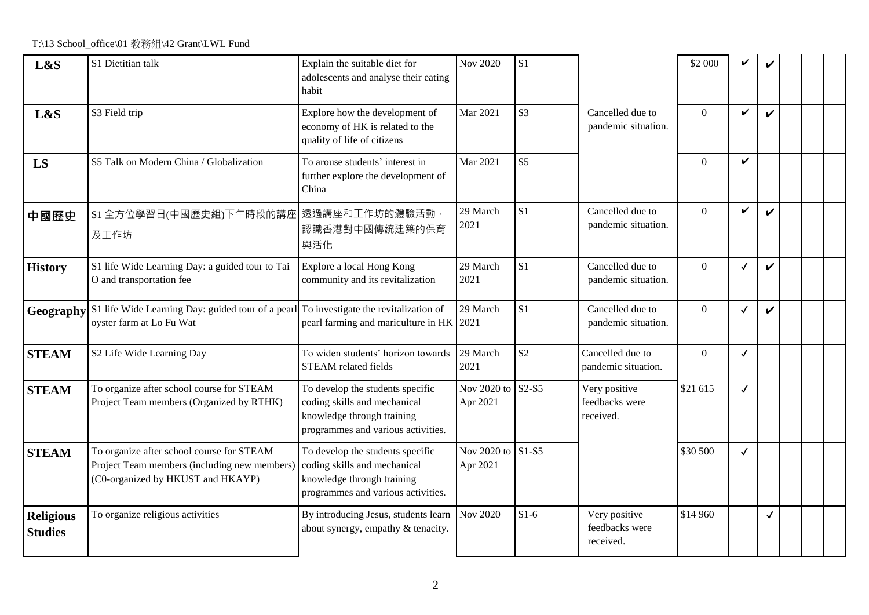T:\13 School\_office\01 教務組\42 Grant\LWL Fund

| L&S                                | S1 Dietitian talk                                                                                                              | Explain the suitable diet for<br>adolescents and analyse their eating<br>habit                                                       | <b>Nov 2020</b><br>S <sub>1</sub> |                | \$2 000                                      | V              |                    |              |  |  |
|------------------------------------|--------------------------------------------------------------------------------------------------------------------------------|--------------------------------------------------------------------------------------------------------------------------------------|-----------------------------------|----------------|----------------------------------------------|----------------|--------------------|--------------|--|--|
| L&S                                | S3 Field trip                                                                                                                  | Explore how the development of<br>economy of HK is related to the<br>quality of life of citizens                                     | <b>Mar 2021</b>                   | S <sub>3</sub> | Cancelled due to<br>pandemic situation.      | $\Omega$       | ✓                  | ✓            |  |  |
| LS                                 | S5 Talk on Modern China / Globalization                                                                                        | To arouse students' interest in<br>further explore the development of<br>China                                                       | <b>Mar 2021</b>                   | S <sub>5</sub> |                                              | $\Omega$       | $\checkmark$       |              |  |  |
| 中國歷史                               | S1 全方位學習日(中國歷史組)下午時段的講座 透過講座和工作坊的體驗活動,<br>及工作坊                                                                                 | 認識香港對中國傳統建築的保育<br>與活化                                                                                                                | 29 March<br>2021                  | S <sub>1</sub> | Cancelled due to<br>pandemic situation.      | $\overline{0}$ | $\boldsymbol{\nu}$ | ✓            |  |  |
| <b>History</b>                     | S1 life Wide Learning Day: a guided tour to Tai<br>O and transportation fee                                                    | Explore a local Hong Kong<br>community and its revitalization                                                                        | 29 March<br>2021                  | S <sub>1</sub> | Cancelled due to<br>pandemic situation.      | $\overline{0}$ | $\checkmark$       | V            |  |  |
| Geography                          | S1 life Wide Learning Day: guided tour of a pearl To investigate the revitalization of<br>oyster farm at Lo Fu Wat             | pearl farming and mariculture in HK 2021                                                                                             | 29 March                          | S <sub>1</sub> | Cancelled due to<br>pandemic situation.      | $\overline{0}$ | $\checkmark$       |              |  |  |
| <b>STEAM</b>                       | S2 Life Wide Learning Day                                                                                                      | To widen students' horizon towards<br><b>STEAM</b> related fields                                                                    | 29 March<br>2021                  | S <sub>2</sub> | Cancelled due to<br>pandemic situation.      | $\overline{0}$ | $\checkmark$       |              |  |  |
| <b>STEAM</b>                       | To organize after school course for STEAM<br>Project Team members (Organized by RTHK)                                          | To develop the students specific<br>coding skills and mechanical<br>knowledge through training<br>programmes and various activities. | Nov 2020 to<br>Apr 2021           | $S2-S5$        | Very positive<br>feedbacks were<br>received. | \$21 615       | $\checkmark$       |              |  |  |
| <b>STEAM</b>                       | To organize after school course for STEAM<br>Project Team members (including new members)<br>(C0-organized by HKUST and HKAYP) | To develop the students specific<br>coding skills and mechanical<br>knowledge through training<br>programmes and various activities. | Nov 2020 to<br>Apr 2021           | $S1-S5$        |                                              | \$30 500       | $\checkmark$       |              |  |  |
| <b>Religious</b><br><b>Studies</b> | To organize religious activities                                                                                               | By introducing Jesus, students learn<br>about synergy, empathy & tenacity.                                                           | <b>Nov 2020</b>                   | $S1-6$         | Very positive<br>feedbacks were<br>received. | \$14 960       |                    | $\checkmark$ |  |  |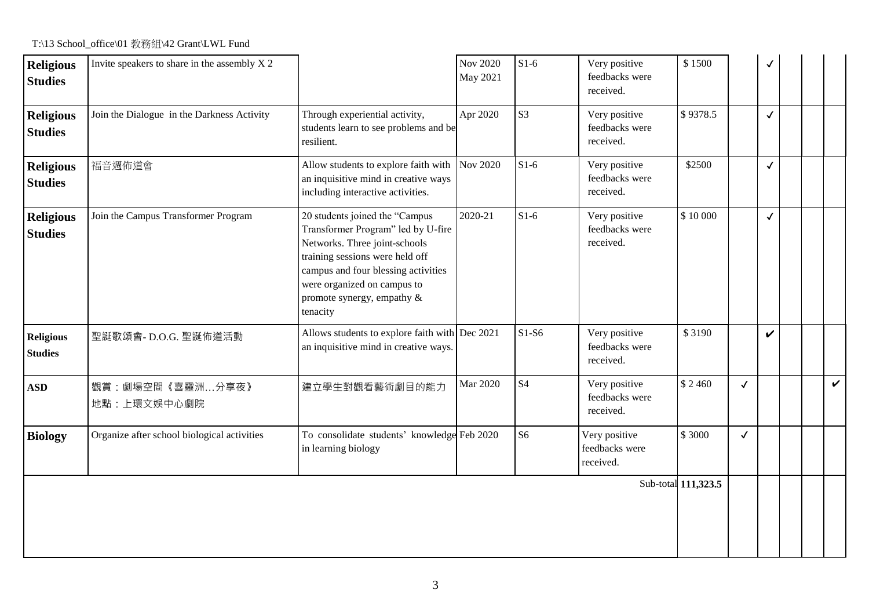T:\13 School\_office\01 教務組\42 Grant\LWL Fund

| <b>Religious</b><br><b>Studies</b> | Invite speakers to share in the assembly X 2 |                                                                                                                                                                                                                                                             | Nov 2020<br>May 2021 | $S1-6$         | Very positive<br>feedbacks were<br>received. | \$1500              |              |              |  |              |
|------------------------------------|----------------------------------------------|-------------------------------------------------------------------------------------------------------------------------------------------------------------------------------------------------------------------------------------------------------------|----------------------|----------------|----------------------------------------------|---------------------|--------------|--------------|--|--------------|
| <b>Religious</b><br><b>Studies</b> | Join the Dialogue in the Darkness Activity   | Through experiential activity,<br>students learn to see problems and be<br>resilient.                                                                                                                                                                       | Apr 2020             | S <sub>3</sub> | Very positive<br>feedbacks were<br>received. | \$9378.5            |              | $\checkmark$ |  |              |
| <b>Religious</b><br><b>Studies</b> | 福音週佈道會                                       | Allow students to explore faith with<br>an inquisitive mind in creative ways<br>including interactive activities.                                                                                                                                           | Nov 2020             | $S1-6$         | Very positive<br>feedbacks were<br>received. | \$2500              |              | $\checkmark$ |  |              |
| <b>Religious</b><br><b>Studies</b> | Join the Campus Transformer Program          | 20 students joined the "Campus<br>Transformer Program" led by U-fire<br>Networks. Three joint-schools<br>training sessions were held off<br>campus and four blessing activities<br>were organized on campus to<br>promote synergy, empathy $\&$<br>tenacity | 2020-21              | $S1-6$         | Very positive<br>feedbacks were<br>received. | \$10 000            |              | $\checkmark$ |  |              |
| <b>Religious</b><br><b>Studies</b> | 聖誕歌頌會- D.O.G. 聖誕佈道活動                         | Allows students to explore faith with Dec 2021<br>an inquisitive mind in creative ways.                                                                                                                                                                     |                      | $S1-S6$        | Very positive<br>feedbacks were<br>received. | \$3190              |              | V            |  |              |
| <b>ASD</b>                         | 觀賞:劇場空間《喜靈洲…分享夜》<br>地點:上環文娛中心劇院              | 建立學生對觀看藝術劇目的能力                                                                                                                                                                                                                                              | <b>Mar 2020</b>      | S <sub>4</sub> | Very positive<br>feedbacks were<br>received. | \$2460              | $\checkmark$ |              |  | $\checkmark$ |
| <b>Biology</b>                     | Organize after school biological activities  | To consolidate students' knowledge Feb 2020<br>in learning biology                                                                                                                                                                                          |                      | S <sub>6</sub> | Very positive<br>feedbacks were<br>received. | \$3000              | $\checkmark$ |              |  |              |
|                                    |                                              |                                                                                                                                                                                                                                                             |                      |                |                                              | Sub-total 111,323.5 |              |              |  |              |

 $\sim$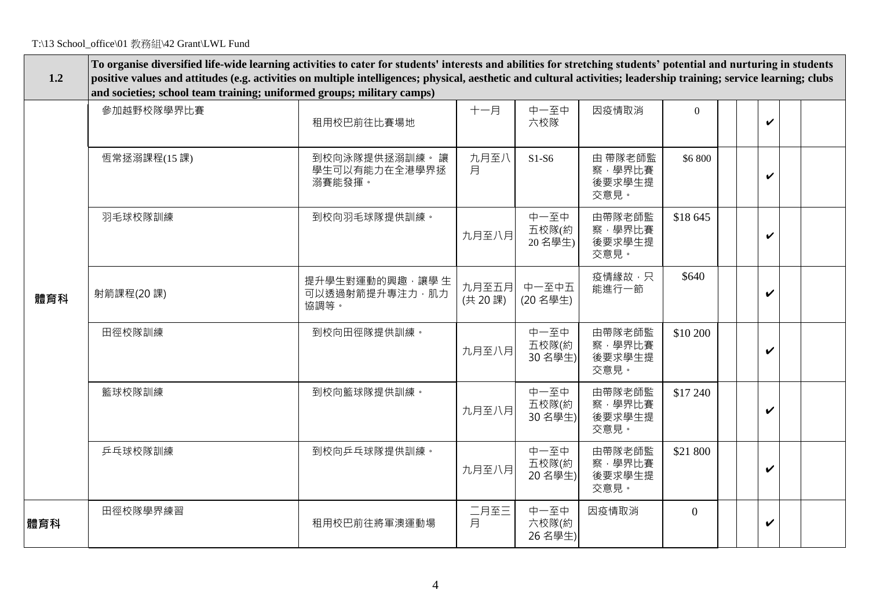| 1.2 | To organise diversified life-wide learning activities to cater for students' interests and abilities for stretching students' potential and nurturing in students<br>positive values and attitudes (e.g. activities on multiple intelligences; physical, aesthetic and cultural activities; leadership training; service learning; clubs<br>and societies; school team training; uniformed groups; military camps) |                                           |                  |                          |                                     |                |  |  |                    |  |  |  |
|-----|--------------------------------------------------------------------------------------------------------------------------------------------------------------------------------------------------------------------------------------------------------------------------------------------------------------------------------------------------------------------------------------------------------------------|-------------------------------------------|------------------|--------------------------|-------------------------------------|----------------|--|--|--------------------|--|--|--|
|     | 參加越野校隊學界比賽                                                                                                                                                                                                                                                                                                                                                                                                         | 租用校巴前往比賽場地                                | 十一月              | 中一至中<br>六校隊              | 因疫情取消                               | $\Omega$       |  |  | V                  |  |  |  |
|     | 恆常拯溺課程(15課)                                                                                                                                                                                                                                                                                                                                                                                                        | 到校向泳隊提供拯溺訓練。 讓<br>學生可以有能力在全港學界拯<br>溺賽能發揮。 | 九月至八<br>月        | $S1-S6$                  | 由 帶隊老師監<br>察,學界比賽<br>後要求學生提<br>交意見。 | \$6 800        |  |  | $\boldsymbol{\nu}$ |  |  |  |
|     | 羽毛球校隊訓練                                                                                                                                                                                                                                                                                                                                                                                                            | 到校向羽毛球隊提供訓練。                              | 九月至八月            | 中一至中<br>五校隊(約<br>20名學生)  | 由帶隊老師監<br>察,學界比賽<br>後要求學生提<br>交意見。  | \$18 645       |  |  | $\boldsymbol{\nu}$ |  |  |  |
| 體育科 | 射箭課程(20課)                                                                                                                                                                                                                                                                                                                                                                                                          | 提升學生對運動的興趣,讓學生<br>可以透過射箭提升專注力, 肌力<br>協調等。 | 九月至五月<br>(共 20課) | 中一至中五<br>(20名學生)         | 疫情緣故,只<br>能進行一節                     | \$640          |  |  | $\checkmark$       |  |  |  |
|     | 田徑校隊訓練                                                                                                                                                                                                                                                                                                                                                                                                             | 到校向田徑隊提供訓練。                               | 九月至八月            | 中一至中<br>五校隊(約<br>30 名學生) | 由帶隊老師監<br>察,學界比賽<br>後要求學生提<br>交意見。  | \$10 200       |  |  | V                  |  |  |  |
|     | 籃球校隊訓練                                                                                                                                                                                                                                                                                                                                                                                                             | 到校向籃球隊提供訓練。                               | 九月至八月            | 中一至中<br>五校隊(約<br>30 名學生) | 由帶隊老師監<br>察,學界比賽<br>後要求學生提<br>交意見。  | \$17 240       |  |  | V                  |  |  |  |
|     | 乒乓球校隊訓練                                                                                                                                                                                                                                                                                                                                                                                                            | 到校向乒乓球隊提供訓練。                              | 九月至八月            | 中一至中<br>五校隊(約<br>20 名學生) | 由帶隊老師監<br>察,學界比賽<br>後要求學生提<br>交意見。  | \$21 800       |  |  | $\boldsymbol{\nu}$ |  |  |  |
| 體育科 | 田徑校隊學界練習                                                                                                                                                                                                                                                                                                                                                                                                           | 租用校巴前往將軍澳運動場                              | 二月至三<br>月        | 中一至中<br>六校隊(約<br>26 名學生) | 因疫情取消                               | $\overline{0}$ |  |  | V                  |  |  |  |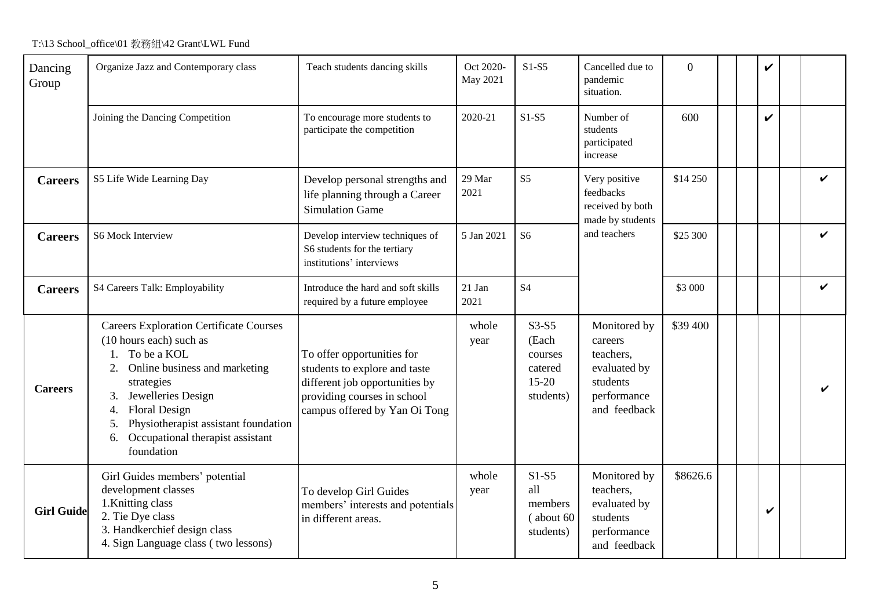T:\13 School\_office\01 教務組\42 Grant\LWL Fund

| Dancing<br>Group  | Organize Jazz and Contemporary class                                                                                                                                                                                                                                                                    | Teach students dancing skills                                                                                                                                 | Oct 2020-<br>May 2021 | $S1-S5$                                                        | Cancelled due to<br>pandemic<br>situation.                                                      | $\overline{0}$ |  | $\checkmark$ |              |
|-------------------|---------------------------------------------------------------------------------------------------------------------------------------------------------------------------------------------------------------------------------------------------------------------------------------------------------|---------------------------------------------------------------------------------------------------------------------------------------------------------------|-----------------------|----------------------------------------------------------------|-------------------------------------------------------------------------------------------------|----------------|--|--------------|--------------|
|                   | Joining the Dancing Competition                                                                                                                                                                                                                                                                         | To encourage more students to<br>participate the competition                                                                                                  | 2020-21               | $S1-S5$                                                        | Number of<br>students<br>participated<br>increase                                               | 600            |  | $\checkmark$ |              |
| <b>Careers</b>    | S5 Life Wide Learning Day                                                                                                                                                                                                                                                                               | Develop personal strengths and<br>life planning through a Career<br><b>Simulation Game</b>                                                                    | 29 Mar<br>2021        | S <sub>5</sub>                                                 | Very positive<br>feedbacks<br>received by both<br>made by students                              | \$14 250       |  |              | $\checkmark$ |
| <b>Careers</b>    | <b>S6 Mock Interview</b>                                                                                                                                                                                                                                                                                | Develop interview techniques of<br>S6 students for the tertiary<br>institutions' interviews                                                                   | 5 Jan 2021            | S <sub>6</sub>                                                 | and teachers                                                                                    | \$25 300       |  |              | $\checkmark$ |
| <b>Careers</b>    | S4 Careers Talk: Employability                                                                                                                                                                                                                                                                          | Introduce the hard and soft skills<br>required by a future employee                                                                                           | $21$ Jan<br>2021      | S <sub>4</sub>                                                 |                                                                                                 | \$3 000        |  |              | $\checkmark$ |
| <b>Careers</b>    | <b>Careers Exploration Certificate Courses</b><br>(10 hours each) such as<br>To be a KOL<br>Online business and marketing<br>2.<br>strategies<br>Jewelleries Design<br>3.<br><b>Floral Design</b><br>4.<br>Physiotherapist assistant foundation<br>Occupational therapist assistant<br>6.<br>foundation | To offer opportunities for<br>students to explore and taste<br>different job opportunities by<br>providing courses in school<br>campus offered by Yan Oi Tong | whole<br>year         | $S3-S5$<br>(Each<br>courses<br>catered<br>$15-20$<br>students) | Monitored by<br>careers<br>teachers,<br>evaluated by<br>students<br>performance<br>and feedback | \$39 400       |  |              | V            |
| <b>Girl Guide</b> | Girl Guides members' potential<br>development classes<br>1. Knitting class<br>2. Tie Dye class<br>3. Handkerchief design class<br>4. Sign Language class (two lessons)                                                                                                                                  | To develop Girl Guides<br>members' interests and potentials<br>in different areas.                                                                            | whole<br>year         | $S1-S5$<br>all<br>members<br>(about 60)<br>students)           | Monitored by<br>teachers,<br>evaluated by<br>students<br>performance<br>and feedback            | \$8626.6       |  | V            |              |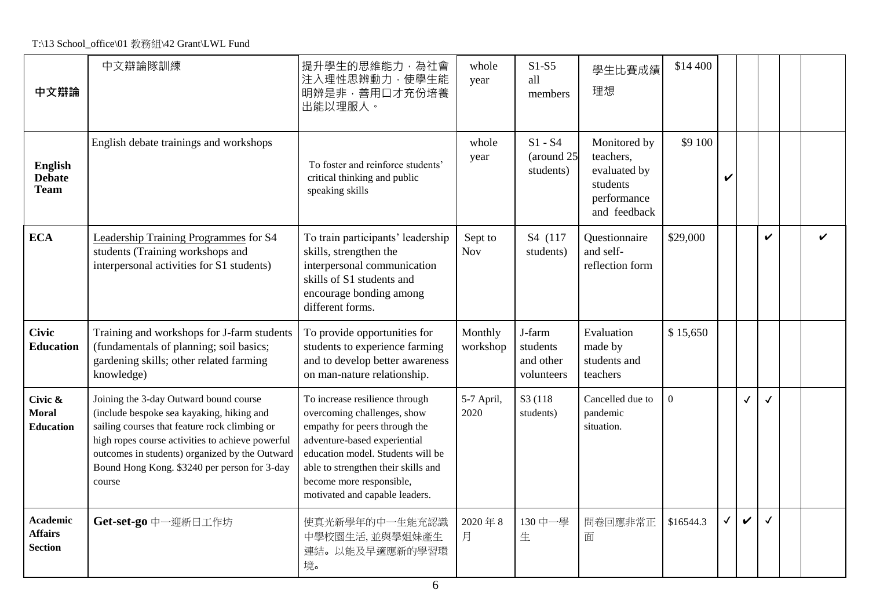T:\13 School\_office\01 教務組\42 Grant\LWL Fund

| 中文辯論                                                | 中文辯論隊訓練                                                                                                                                                                                                                                                                                              | 提升學生的思維能力,為社會<br>注入理性思辨動力,使學生能<br>明辨是非,善用口才充份培養<br>出能以理服人。                                                                                                                                                                                                               | whole<br>year         | $S1-S5$<br>all<br>members                     | 學生比賽成績<br>理想                                                                         | \$14 400  |              |              |   |   |
|-----------------------------------------------------|------------------------------------------------------------------------------------------------------------------------------------------------------------------------------------------------------------------------------------------------------------------------------------------------------|--------------------------------------------------------------------------------------------------------------------------------------------------------------------------------------------------------------------------------------------------------------------------|-----------------------|-----------------------------------------------|--------------------------------------------------------------------------------------|-----------|--------------|--------------|---|---|
| English<br><b>Debate</b><br><b>Team</b>             | English debate trainings and workshops                                                                                                                                                                                                                                                               | To foster and reinforce students'<br>critical thinking and public<br>speaking skills                                                                                                                                                                                     | whole<br>year         | $S1 - S4$<br>(around 25)<br>students)         | Monitored by<br>teachers,<br>evaluated by<br>students<br>performance<br>and feedback | \$9 100   | V            |              |   |   |
| <b>ECA</b>                                          | Leadership Training Programmes for S4<br>students (Training workshops and<br>interpersonal activities for S1 students)                                                                                                                                                                               | To train participants' leadership<br>skills, strengthen the<br>interpersonal communication<br>skills of S1 students and<br>encourage bonding among<br>different forms.                                                                                                   | Sept to<br><b>Nov</b> | S4 (117<br>students)                          | Questionnaire<br>and self-<br>reflection form                                        | \$29,000  |              |              | V | V |
| <b>Civic</b><br><b>Education</b>                    | Training and workshops for J-farm students<br>(fundamentals of planning; soil basics;<br>gardening skills; other related farming<br>knowledge)                                                                                                                                                       | To provide opportunities for<br>students to experience farming<br>and to develop better awareness<br>on man-nature relationship.                                                                                                                                         | Monthly<br>workshop   | J-farm<br>students<br>and other<br>volunteers | Evaluation<br>made by<br>students and<br>teachers                                    | \$15,650  |              |              |   |   |
| Civic $\&$<br><b>Moral</b><br><b>Education</b>      | Joining the 3-day Outward bound course<br>(include bespoke sea kayaking, hiking and<br>sailing courses that feature rock climbing or<br>high ropes course activities to achieve powerful<br>outcomes in students) organized by the Outward<br>Bound Hong Kong. \$3240 per person for 3-day<br>course | To increase resilience through<br>overcoming challenges, show<br>empathy for peers through the<br>adventure-based experiential<br>education model. Students will be<br>able to strengthen their skills and<br>become more responsible,<br>motivated and capable leaders. | 5-7 April,<br>2020    | S3 (118)<br>students)                         | Cancelled due to<br>pandemic<br>situation.                                           | $\Omega$  |              | $\checkmark$ |   |   |
| <b>Academic</b><br><b>Affairs</b><br><b>Section</b> | Get-set-go 中一迎新日工作坊                                                                                                                                                                                                                                                                                  | 使真光新學年的中一生能充認識<br>中學校園生活,並與學姐妹產生<br>連結。以能及早適應新的學習環<br>境。                                                                                                                                                                                                                 | 2020年8<br>月           | 130 中一學<br>生                                  | 問卷回應非常正<br>面                                                                         | \$16544.3 | $\checkmark$ | V            |   |   |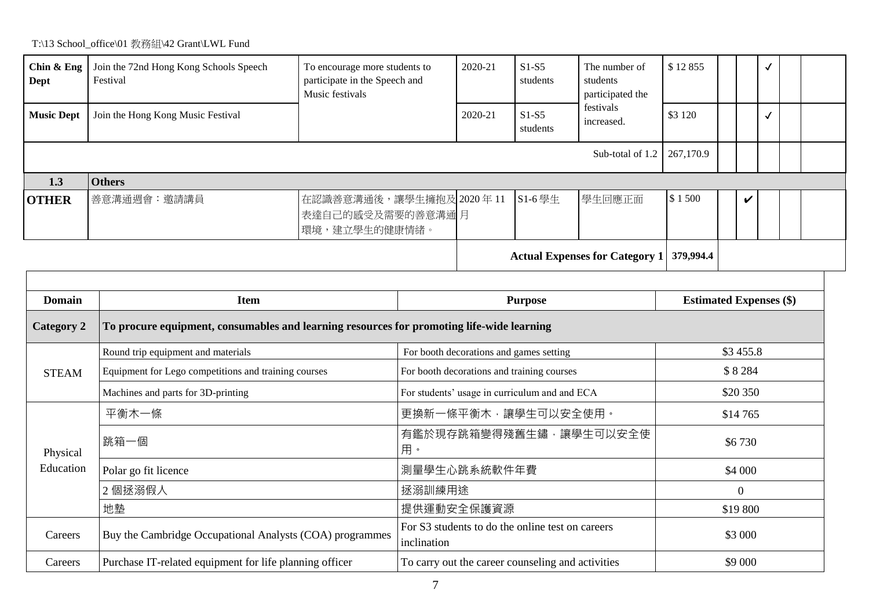| Chin $&$ Eng<br><b>Dept</b> | Join the 72nd Hong Kong Schools Speech<br>Festival                                        | To encourage more students to<br>participate in the Speech and<br>Music festivals |                                                   | 2020-21                                          | $S1-S5$<br>students | The number of<br>students<br>participated the | \$12855   |                                |                | $\checkmark$ |  |  |
|-----------------------------|-------------------------------------------------------------------------------------------|-----------------------------------------------------------------------------------|---------------------------------------------------|--------------------------------------------------|---------------------|-----------------------------------------------|-----------|--------------------------------|----------------|--------------|--|--|
| <b>Music Dept</b>           | Join the Hong Kong Music Festival                                                         |                                                                                   |                                                   | 2020-21                                          | $S1-S5$<br>students | festivals<br>increased.                       | \$3 1 20  |                                |                | $\checkmark$ |  |  |
|                             |                                                                                           |                                                                                   |                                                   |                                                  |                     | Sub-total of 1.2                              | 267,170.9 |                                |                |              |  |  |
| 1.3                         | <b>Others</b>                                                                             |                                                                                   |                                                   |                                                  |                     |                                               |           |                                |                |              |  |  |
| <b>OTHER</b>                | 善意溝通週會:邀請講員                                                                               | 在認識善意溝通後,讓學生擁抱及2020年11<br>表達自己的感受及需要的善意溝通月<br>環境,建立學生的健康情緒。                       |                                                   |                                                  | S1-6學生              | 學生回應正面                                        | \$1500    |                                | V              |              |  |  |
|                             |                                                                                           |                                                                                   |                                                   |                                                  |                     | <b>Actual Expenses for Category 1</b>         | 379,994.4 |                                |                |              |  |  |
|                             |                                                                                           |                                                                                   |                                                   |                                                  |                     |                                               |           |                                |                |              |  |  |
| <b>Domain</b>               | <b>Item</b>                                                                               |                                                                                   |                                                   | <b>Purpose</b>                                   |                     |                                               |           | <b>Estimated Expenses (\$)</b> |                |              |  |  |
| <b>Category 2</b>           | To procure equipment, consumables and learning resources for promoting life-wide learning |                                                                                   |                                                   |                                                  |                     |                                               |           |                                |                |              |  |  |
|                             | Round trip equipment and materials                                                        |                                                                                   | For booth decorations and games setting           |                                                  |                     |                                               | \$3 455.8 |                                |                |              |  |  |
| <b>STEAM</b>                | Equipment for Lego competitions and training courses                                      |                                                                                   | For booth decorations and training courses        | \$8284                                           |                     |                                               |           |                                |                |              |  |  |
|                             | Machines and parts for 3D-printing                                                        |                                                                                   | For students' usage in curriculum and and ECA     |                                                  |                     |                                               | \$20 350  |                                |                |              |  |  |
|                             | 平衡木一條                                                                                     |                                                                                   | 更換新一條平衡木,讓學生可以安全使用。                               |                                                  |                     |                                               |           |                                | \$14765        |              |  |  |
| 跳箱一個<br>Physical            |                                                                                           |                                                                                   | 用。                                                | 有鑑於現存跳箱變得殘舊生鏽,讓學生可以安全使                           | \$6730              |                                               |           |                                |                |              |  |  |
| Education                   | Polar go fit licence                                                                      |                                                                                   |                                                   | 測量學生心跳系統軟件年費                                     |                     |                                               |           |                                | \$4 000        |              |  |  |
| 2個拯溺假人                      |                                                                                           |                                                                                   | 拯溺訓練用途                                            |                                                  |                     |                                               |           |                                | $\overline{0}$ |              |  |  |
|                             | 地墊                                                                                        |                                                                                   |                                                   | 提供運動安全保護資源                                       |                     |                                               | \$19800   |                                |                |              |  |  |
| Careers                     | Buy the Cambridge Occupational Analysts (COA) programmes                                  |                                                                                   | inclination                                       | For S3 students to do the online test on careers |                     |                                               | \$3 000   |                                |                |              |  |  |
| Careers                     | Purchase IT-related equipment for life planning officer                                   |                                                                                   | To carry out the career counseling and activities |                                                  |                     | \$9 000                                       |           |                                |                |              |  |  |